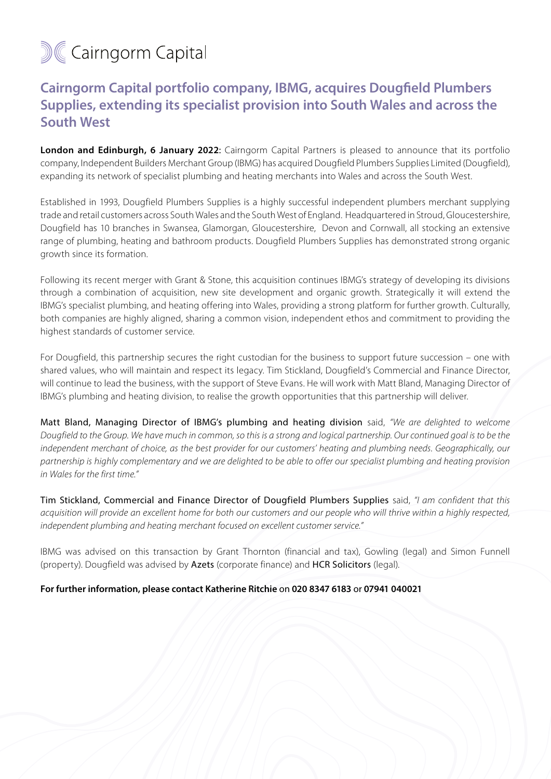## **M&Cairngorm Capital**

## **Cairngorm Capital portfolio company, IBMG, acquires Dougfield Plumbers Supplies, extending its specialist provision into South Wales and across the South West**

**London and Edinburgh, 6 January 2022:** Cairngorm Capital Partners is pleased to announce that its portfolio company, Independent Builders Merchant Group (IBMG) has acquired Dougfield Plumbers Supplies Limited (Dougfield), expanding its network of specialist plumbing and heating merchants into Wales and across the South West.

Established in 1993, Dougfield Plumbers Supplies is a highly successful independent plumbers merchant supplying trade and retail customers across South Wales and the South West of England. Headquartered in Stroud, Gloucestershire, Dougfield has 10 branches in Swansea, Glamorgan, Gloucestershire, Devon and Cornwall, all stocking an extensive range of plumbing, heating and bathroom products. Dougfield Plumbers Supplies has demonstrated strong organic growth since its formation.

Following its recent merger with Grant & Stone, this acquisition continues IBMG's strategy of developing its divisions through a combination of acquisition, new site development and organic growth. Strategically it will extend the IBMG's specialist plumbing, and heating offering into Wales, providing a strong platform for further growth. Culturally, both companies are highly aligned, sharing a common vision, independent ethos and commitment to providing the highest standards of customer service.

For Dougfield, this partnership secures the right custodian for the business to support future succession – one with shared values, who will maintain and respect its legacy. Tim Stickland, Dougfield's Commercial and Finance Director, will continue to lead the business, with the support of Steve Evans. He will work with Matt Bland, Managing Director of IBMG's plumbing and heating division, to realise the growth opportunities that this partnership will deliver.

Matt Bland, Managing Director of IBMG's plumbing and heating division said, *"We are delighted to welcome Dougfield to the Group. We have much in common, so this is a strong and logical partnership. Our continued goal is to be the independent merchant of choice, as the best provider for our customers' heating and plumbing needs. Geographically, our partnership is highly complementary and we are delighted to be able to offer our specialist plumbing and heating provision in Wales for the first time."* 

Tim Stickland, Commercial and Finance Director of Dougfield Plumbers Supplies said, *"I am confident that this acquisition will provide an excellent home for both our customers and our people who will thrive within a highly respected, independent plumbing and heating merchant focused on excellent customer service."*

IBMG was advised on this transaction by Grant Thornton (financial and tax), Gowling (legal) and Simon Funnell (property). Dougfield was advised by Azets (corporate finance) and HCR Solicitors (legal).

## **For further information, please contact Katherine Ritchie** on **020 8347 6183** or **07941 040021**